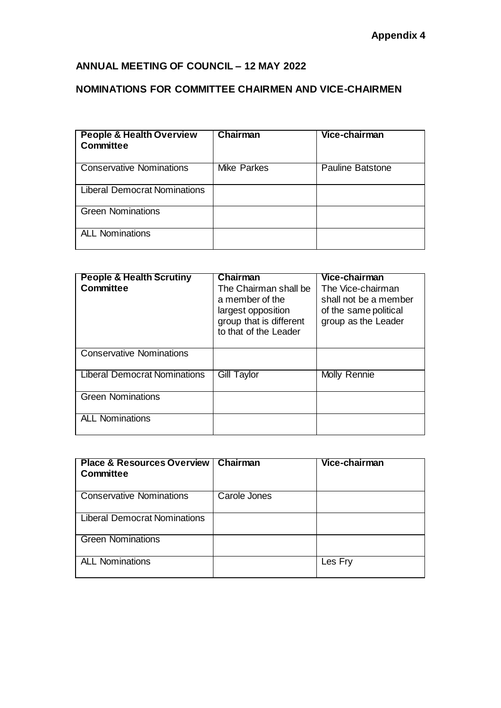## **ANNUAL MEETING OF COUNCIL – 12 MAY 2022**

## **NOMINATIONS FOR COMMITTEE CHAIRMEN AND VICE-CHAIRMEN**

| <b>People &amp; Health Overview</b><br><b>Committee</b> | Chairman           | Vice-chairman           |
|---------------------------------------------------------|--------------------|-------------------------|
| <b>Conservative Nominations</b>                         | <b>Mike Parkes</b> | <b>Pauline Batstone</b> |
| <b>Liberal Democrat Nominations</b>                     |                    |                         |
| <b>Green Nominations</b>                                |                    |                         |
| <b>ALL Nominations</b>                                  |                    |                         |

| <b>People &amp; Health Scrutiny</b><br><b>Committee</b> | Chairman<br>The Chairman shall be<br>a member of the<br>largest opposition<br>group that is different<br>to that of the Leader | Vice-chairman<br>The Vice-chairman<br>shall not be a member<br>of the same political<br>group as the Leader |
|---------------------------------------------------------|--------------------------------------------------------------------------------------------------------------------------------|-------------------------------------------------------------------------------------------------------------|
| <b>Conservative Nominations</b>                         |                                                                                                                                |                                                                                                             |
| Liberal Democrat Nominations                            | Gill Taylor                                                                                                                    | Molly Rennie                                                                                                |
| <b>Green Nominations</b>                                |                                                                                                                                |                                                                                                             |
| <b>ALL Nominations</b>                                  |                                                                                                                                |                                                                                                             |

| <b>Place &amp; Resources Overview  </b><br><b>Committee</b> | Chairman     | Vice-chairman |
|-------------------------------------------------------------|--------------|---------------|
| <b>Conservative Nominations</b>                             | Carole Jones |               |
| <b>Liberal Democrat Nominations</b>                         |              |               |
| <b>Green Nominations</b>                                    |              |               |
| <b>ALL Nominations</b>                                      |              | Les Fry       |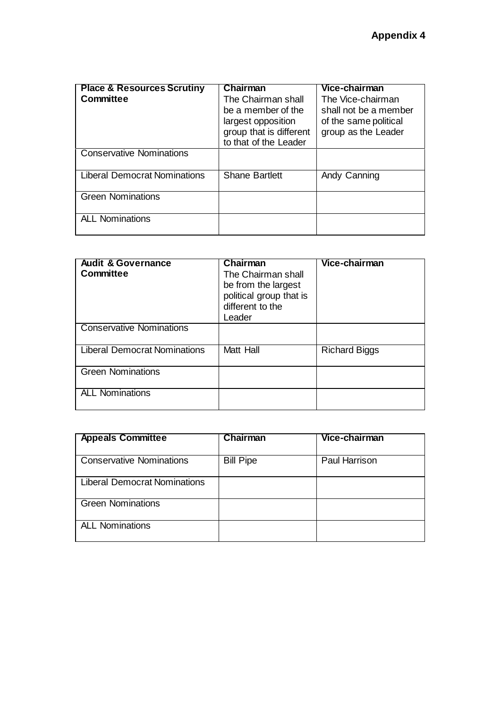| <b>Place &amp; Resources Scrutiny</b><br><b>Committee</b> | Chairman<br>The Chairman shall<br>be a member of the<br>largest opposition<br>group that is different<br>to that of the Leader | Vice-chairman<br>The Vice-chairman<br>shall not be a member<br>of the same political<br>group as the Leader |
|-----------------------------------------------------------|--------------------------------------------------------------------------------------------------------------------------------|-------------------------------------------------------------------------------------------------------------|
| <b>Conservative Nominations</b>                           |                                                                                                                                |                                                                                                             |
| <b>Liberal Democrat Nominations</b>                       | <b>Shane Bartlett</b>                                                                                                          | Andy Canning                                                                                                |
| <b>Green Nominations</b>                                  |                                                                                                                                |                                                                                                             |
| <b>ALL Nominations</b>                                    |                                                                                                                                |                                                                                                             |

| <b>Audit &amp; Governance</b><br><b>Committee</b> | Chairman<br>The Chairman shall<br>be from the largest<br>political group that is<br>different to the<br>Leader | Vice-chairman        |
|---------------------------------------------------|----------------------------------------------------------------------------------------------------------------|----------------------|
| <b>Conservative Nominations</b>                   |                                                                                                                |                      |
| <b>Liberal Democrat Nominations</b>               | Matt Hall                                                                                                      | <b>Richard Biggs</b> |
| <b>Green Nominations</b>                          |                                                                                                                |                      |
| <b>ALL Nominations</b>                            |                                                                                                                |                      |

| <b>Appeals Committee</b>            | <b>Chairman</b>  | Vice-chairman        |
|-------------------------------------|------------------|----------------------|
| <b>Conservative Nominations</b>     | <b>Bill Pipe</b> | <b>Paul Harrison</b> |
| <b>Liberal Democrat Nominations</b> |                  |                      |
| <b>Green Nominations</b>            |                  |                      |
| <b>ALL Nominations</b>              |                  |                      |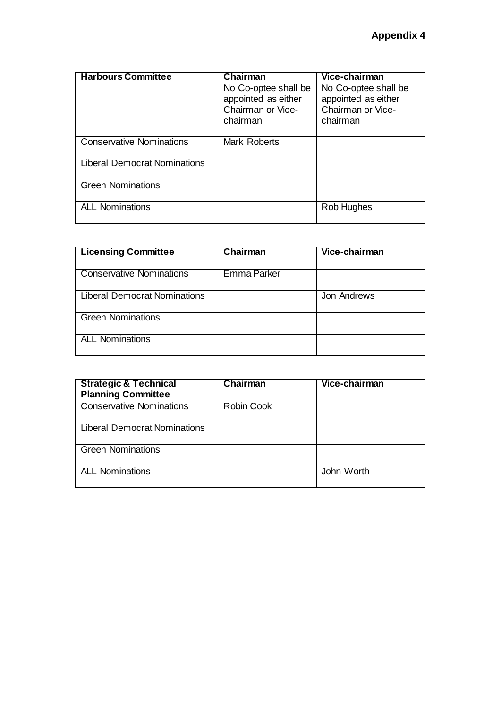| <b>Harbours Committee</b>       | Chairman<br>No Co-optee shall be<br>appointed as either<br>Chairman or Vice-<br>chairman | Vice-chairman<br>No Co-optee shall be<br>appointed as either<br>Chairman or Vice-<br>chairman |
|---------------------------------|------------------------------------------------------------------------------------------|-----------------------------------------------------------------------------------------------|
| <b>Conservative Nominations</b> | <b>Mark Roberts</b>                                                                      |                                                                                               |
| Liberal Democrat Nominations    |                                                                                          |                                                                                               |
| <b>Green Nominations</b>        |                                                                                          |                                                                                               |
| <b>ALL Nominations</b>          |                                                                                          | Rob Hughes                                                                                    |

| <b>Licensing Committee</b>          | Chairman    | Vice-chairman |
|-------------------------------------|-------------|---------------|
| <b>Conservative Nominations</b>     | Emma Parker |               |
| <b>Liberal Democrat Nominations</b> |             | Jon Andrews   |
| <b>Green Nominations</b>            |             |               |
| <b>ALL Nominations</b>              |             |               |

| <b>Strategic &amp; Technical</b><br><b>Planning Committee</b> | <b>Chairman</b>   | Vice-chairman |
|---------------------------------------------------------------|-------------------|---------------|
| <b>Conservative Nominations</b>                               | <b>Robin Cook</b> |               |
| <b>Liberal Democrat Nominations</b>                           |                   |               |
| <b>Green Nominations</b>                                      |                   |               |
| <b>ALL Nominations</b>                                        |                   | John Worth    |